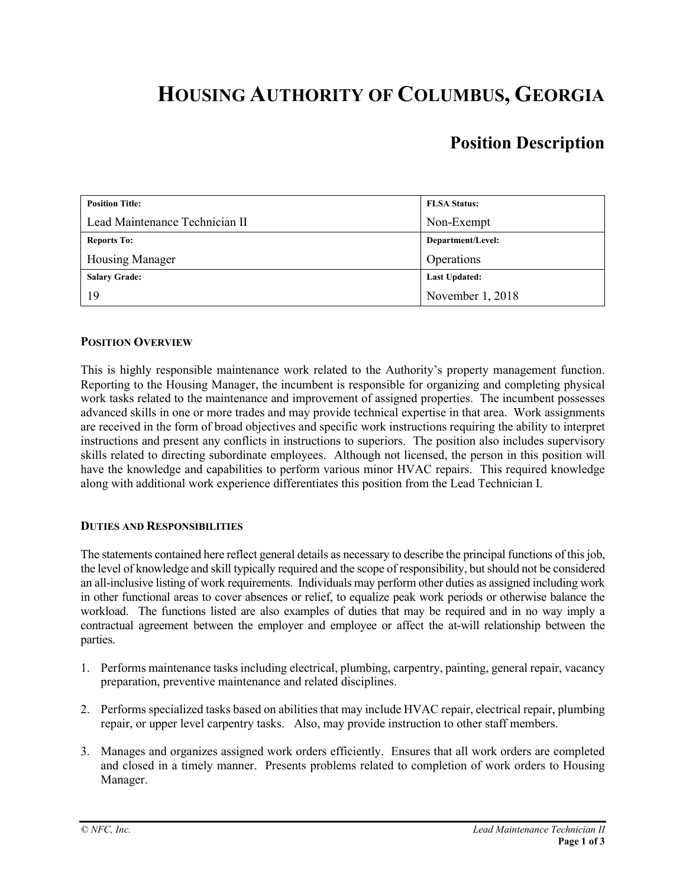# **HOUSING AUTHORITY OF COLUMBUS, GEORGIA**

# **Position Description**

| <b>Position Title:</b>         | <b>FLSA Status:</b>  |
|--------------------------------|----------------------|
| Lead Maintenance Technician II | Non-Exempt           |
| <b>Reports To:</b>             | Department/Level:    |
| Housing Manager                | Operations           |
| <b>Salary Grade:</b>           | <b>Last Updated:</b> |
| 19                             | November 1, 2018     |

# **POSITION OVERVIEW**

This is highly responsible maintenance work related to the Authority's property management function. Reporting to the Housing Manager, the incumbent is responsible for organizing and completing physical work tasks related to the maintenance and improvement of assigned properties. The incumbent possesses advanced skills in one or more trades and may provide technical expertise in that area. Work assignments are received in the form of broad objectives and specific work instructions requiring the ability to interpret instructions and present any conflicts in instructions to superiors. The position also includes supervisory skills related to directing subordinate employees. Although not licensed, the person in this position will have the knowledge and capabilities to perform various minor HVAC repairs. This required knowledge along with additional work experience differentiates this position from the Lead Technician I.

#### **DUTIES AND RESPONSIBILITIES**

The statements contained here reflect general details as necessary to describe the principal functions of this job, the level of knowledge and skill typically required and the scope of responsibility, but should not be considered an all-inclusive listing of work requirements. Individuals may perform other duties as assigned including work in other functional areas to cover absences or relief, to equalize peak work periods or otherwise balance the workload. The functions listed are also examples of duties that may be required and in no way imply a contractual agreement between the employer and employee or affect the at-will relationship between the parties.

- 1. Performs maintenance tasks including electrical, plumbing, carpentry, painting, general repair, vacancy preparation, preventive maintenance and related disciplines.
- 2. Performs specialized tasks based on abilities that may include HVAC repair, electrical repair, plumbing repair, or upper level carpentry tasks. Also, may provide instruction to other staff members.
- 3. Manages and organizes assigned work orders efficiently. Ensures that all work orders are completed and closed in a timely manner. Presents problems related to completion of work orders to Housing Manager.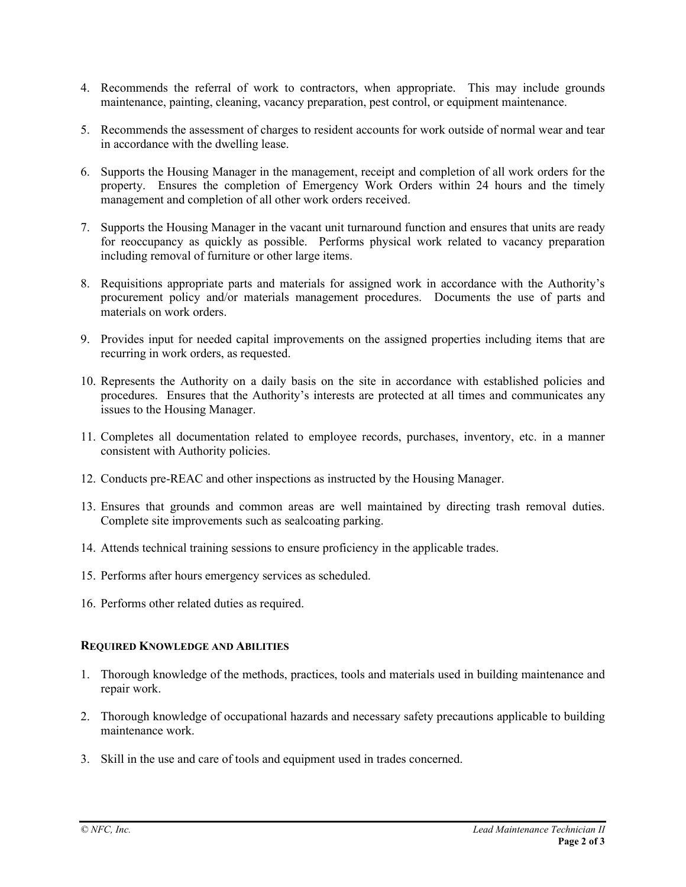- 4. Recommends the referral of work to contractors, when appropriate. This may include grounds maintenance, painting, cleaning, vacancy preparation, pest control, or equipment maintenance.
- 5. Recommends the assessment of charges to resident accounts for work outside of normal wear and tear in accordance with the dwelling lease.
- 6. Supports the Housing Manager in the management, receipt and completion of all work orders for the property. Ensures the completion of Emergency Work Orders within 24 hours and the timely management and completion of all other work orders received.
- 7. Supports the Housing Manager in the vacant unit turnaround function and ensures that units are ready for reoccupancy as quickly as possible. Performs physical work related to vacancy preparation including removal of furniture or other large items.
- 8. Requisitions appropriate parts and materials for assigned work in accordance with the Authority's procurement policy and/or materials management procedures. Documents the use of parts and materials on work orders.
- 9. Provides input for needed capital improvements on the assigned properties including items that are recurring in work orders, as requested.
- 10. Represents the Authority on a daily basis on the site in accordance with established policies and procedures. Ensures that the Authority's interests are protected at all times and communicates any issues to the Housing Manager.
- 11. Completes all documentation related to employee records, purchases, inventory, etc. in a manner consistent with Authority policies.
- 12. Conducts pre-REAC and other inspections as instructed by the Housing Manager.
- 13. Ensures that grounds and common areas are well maintained by directing trash removal duties. Complete site improvements such as sealcoating parking.
- 14. Attends technical training sessions to ensure proficiency in the applicable trades.
- 15. Performs after hours emergency services as scheduled.
- 16. Performs other related duties as required.

#### **REQUIRED KNOWLEDGE AND ABILITIES**

- 1. Thorough knowledge of the methods, practices, tools and materials used in building maintenance and repair work.
- 2. Thorough knowledge of occupational hazards and necessary safety precautions applicable to building maintenance work.
- 3. Skill in the use and care of tools and equipment used in trades concerned.